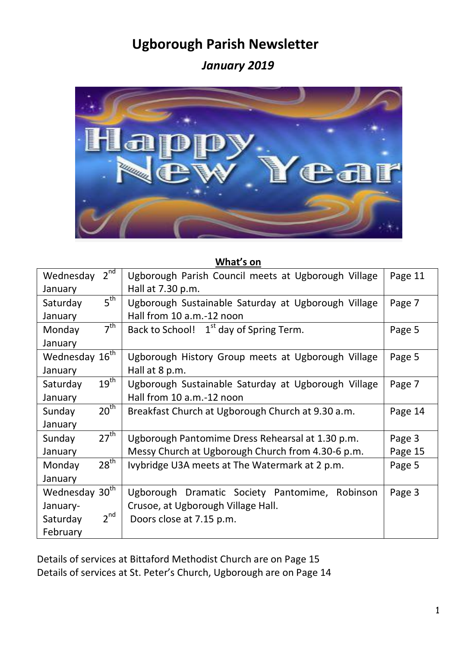# **Ugborough Parish Newsletter**

*January 2019*



#### **What's on**

| $2^{nd}$<br>Wednesday        | Ugborough Parish Council meets at Ugborough Village | Page 11 |
|------------------------------|-----------------------------------------------------|---------|
| January                      | Hall at 7.30 p.m.                                   |         |
| 5 <sup>th</sup><br>Saturday  | Ugborough Sustainable Saturday at Ugborough Village | Page 7  |
| January                      | Hall from 10 a.m.-12 noon                           |         |
| 7 <sup>th</sup><br>Monday    | Back to School! 1 <sup>st</sup> day of Spring Term. | Page 5  |
| January                      |                                                     |         |
| Wednesday 16 <sup>th</sup>   | Ugborough History Group meets at Ugborough Village  | Page 5  |
| January                      | Hall at 8 p.m.                                      |         |
| 19 <sup>th</sup><br>Saturday | Ugborough Sustainable Saturday at Ugborough Village | Page 7  |
| January                      | Hall from 10 a.m.-12 noon                           |         |
| 20 <sup>th</sup><br>Sunday   | Breakfast Church at Ugborough Church at 9.30 a.m.   | Page 14 |
| January                      |                                                     |         |
| $27^{\text{th}}$<br>Sunday   | Ugborough Pantomime Dress Rehearsal at 1.30 p.m.    | Page 3  |
| January                      | Messy Church at Ugborough Church from 4.30-6 p.m.   | Page 15 |
| $28^{\text{th}}$<br>Monday   | Ivybridge U3A meets at The Watermark at 2 p.m.      | Page 5  |
| January                      |                                                     |         |
| Wednesday 30 <sup>th</sup>   | Ugborough Dramatic Society Pantomime,<br>Robinson   | Page 3  |
| January-                     | Crusoe, at Ugborough Village Hall.                  |         |
| $2^{nd}$<br>Saturday         | Doors close at 7.15 p.m.                            |         |
| February                     |                                                     |         |

Details of services at Bittaford Methodist Church are on Page 15 Details of services at St. Peter's Church, Ugborough are on Page 14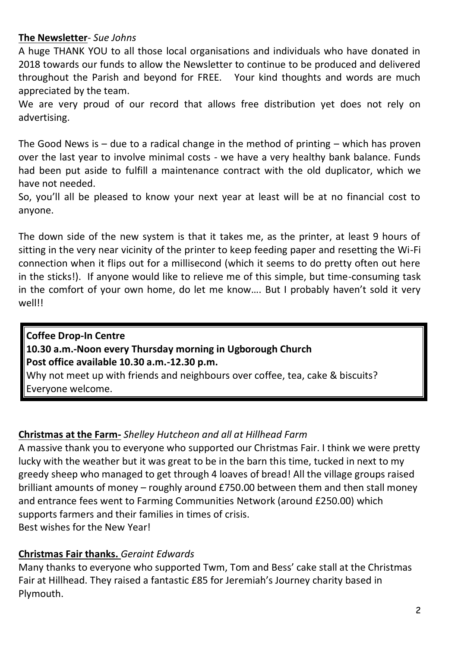# **The Newsletter**- *Sue Johns*

A huge THANK YOU to all those local organisations and individuals who have donated in 2018 towards our funds to allow the Newsletter to continue to be produced and delivered throughout the Parish and beyond for FREE. Your kind thoughts and words are much appreciated by the team.

We are very proud of our record that allows free distribution yet does not rely on advertising.

The Good News is  $-$  due to a radical change in the method of printing  $-$  which has proven over the last year to involve minimal costs - we have a very healthy bank balance. Funds had been put aside to fulfill a maintenance contract with the old duplicator, which we have not needed.

So, you'll all be pleased to know your next year at least will be at no financial cost to anyone.

The down side of the new system is that it takes me, as the printer, at least 9 hours of sitting in the very near vicinity of the printer to keep feeding paper and resetting the Wi-Fi connection when it flips out for a millisecond (which it seems to do pretty often out here in the sticks!). If anyone would like to relieve me of this simple, but time-consuming task in the comfort of your own home, do let me know…. But I probably haven't sold it very well!!

**Coffee Drop-In Centre 10.30 a.m.-Noon every Thursday morning in Ugborough Church Post office available 10.30 a.m.-12.30 p.m.** Why not meet up with friends and neighbours over coffee, tea, cake & biscuits? Everyone welcome.

# **Christmas at the Farm-** *Shelley Hutcheon and all at Hillhead Farm*

A massive thank you to everyone who supported our Christmas Fair. I think we were pretty lucky with the weather but it was great to be in the barn this time, tucked in next to my greedy sheep who managed to get through 4 loaves of bread! All the village groups raised brilliant amounts of money – roughly around £750.00 between them and then stall money and entrance fees went to Farming Communities Network (around £250.00) which supports farmers and their families in times of crisis. Best wishes for the New Year!

# **Christmas Fair thanks.** *Geraint Edwards*

Many thanks to everyone who supported Twm, Tom and Bess' cake stall at the Christmas Fair at Hillhead. They raised a fantastic £85 for Jeremiah's Journey charity based in Plymouth.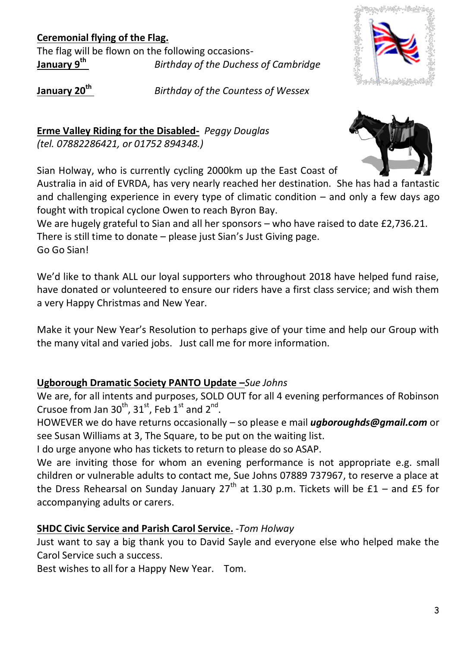# **Ceremonial flying of the Flag.**

The flag will be flown on the following occasions-<br>January 9<sup>th</sup> Birthday of the Duches *Birthday of the Duchess of Cambridge* 



**January 20th** *Birthday of the Countess of Wessex*

**Erme Valley Riding for the Disabled-** *Peggy Douglas (tel. 07882286421, or 01752 894348.)* 



Sian Holway, who is currently cycling 2000km up the East Coast of

Australia in aid of EVRDA, has very nearly reached her destination. She has had a fantastic and challenging experience in every type of climatic condition  $-$  and only a few days ago fought with tropical cyclone Owen to reach Byron Bay.

We are hugely grateful to Sian and all her sponsors – who have raised to date £2,736.21. There is still time to donate – please just Sian's Just Giving page. Go Go Sian!

We'd like to thank ALL our loyal supporters who throughout 2018 have helped fund raise, have donated or volunteered to ensure our riders have a first class service; and wish them a very Happy Christmas and New Year.

Make it your New Year's Resolution to perhaps give of your time and help our Group with the many vital and varied jobs. Just call me for more information.

# **Ugborough Dramatic Society PANTO Update –***Sue Johns*

We are, for all intents and purposes, SOLD OUT for all 4 evening performances of Robinson Crusoe from Jan  $30^{th}$ ,  $31^{st}$ , Feb  $1^{st}$  and  $2^{nd}$ .

HOWEVER we do have returns occasionally – so please e mail *ugboroughds@gmail.com* or see Susan Williams at 3, The Square, to be put on the waiting list.

I do urge anyone who has tickets to return to please do so ASAP.

We are inviting those for whom an evening performance is not appropriate e.g. small children or vulnerable adults to contact me, Sue Johns 07889 737967, to reserve a place at the Dress Rehearsal on Sunday January  $27<sup>th</sup>$  at 1.30 p.m. Tickets will be £1 – and £5 for accompanying adults or carers.

# **SHDC Civic Service and Parish Carol Service.** -*Tom Holway*

Just want to say a big thank you to David Sayle and everyone else who helped make the Carol Service such a success.

Best wishes to all for a Happy New Year. Tom.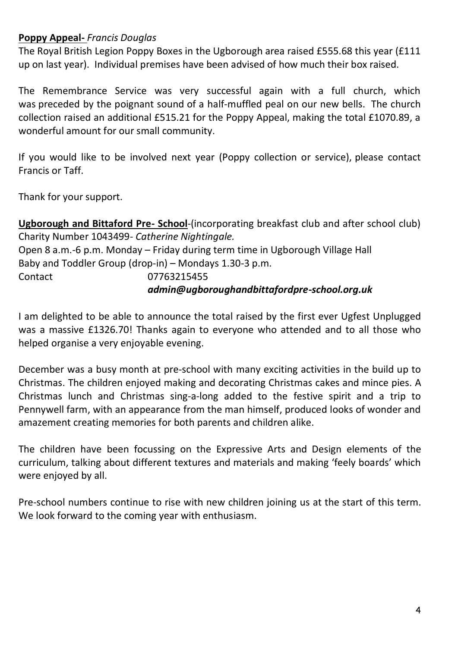#### **Poppy Appeal-** *Francis Douglas*

The Royal British Legion Poppy Boxes in the Ugborough area raised £555.68 this year (£111 up on last year). Individual premises have been advised of how much their box raised.

The Remembrance Service was very successful again with a full church, which was preceded by the poignant sound of a half-muffled peal on our new bells. The church collection raised an additional £515.21 for the Poppy Appeal, making the total £1070.89, a wonderful amount for our small community.

If you would like to be involved next year (Poppy collection or service), please contact Francis or Taff.

Thank for your support.

**Ugborough and Bittaford Pre- School**-(incorporating breakfast club and after school club) Charity Number 1043499*- Catherine Nightingale.* Open 8 a.m.-6 p.m. Monday – Friday during term time in Ugborough Village Hall Baby and Toddler Group (drop-in) – Mondays 1.30-3 p.m. Contact 07763215455 *admin@ugboroughandbittafordpre-school.org.uk*

I am delighted to be able to announce the total raised by the first ever Ugfest Unplugged was a massive £1326.70! Thanks again to everyone who attended and to all those who helped organise a very enjoyable evening.

December was a busy month at pre-school with many exciting activities in the build up to Christmas. The children enjoyed making and decorating Christmas cakes and mince pies. A Christmas lunch and Christmas sing-a-long added to the festive spirit and a trip to Pennywell farm, with an appearance from the man himself, produced looks of wonder and amazement creating memories for both parents and children alike.

The children have been focussing on the Expressive Arts and Design elements of the curriculum, talking about different textures and materials and making 'feely boards' which were enjoyed by all.

Pre-school numbers continue to rise with new children joining us at the start of this term. We look forward to the coming year with enthusiasm.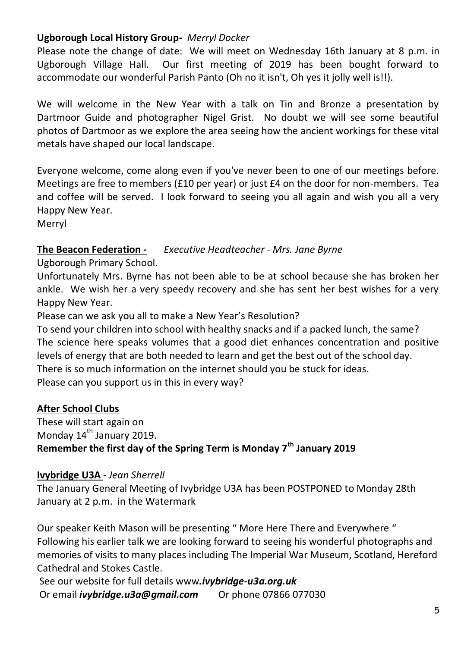# **Ugborough Local History Group-** *Merryl Docker*

Please note the change of date: We will meet on Wednesday 16th January at 8 p.m. in Ugborough Village Hall. Our first meeting of 2019 has been bought forward to accommodate our wonderful Parish Panto (Oh no it isn't, Oh yes it jolly well is!!).

We will welcome in the New Year with a talk on Tin and Bronze a presentation by Dartmoor Guide and photographer Nigel Grist. No doubt we will see some beautiful photos of Dartmoor as we explore the area seeing how the ancient workings for these vital metals have shaped our local landscape.

Everyone welcome, come along even if you've never been to one of our meetings before. Meetings are free to members (£10 per year) or just £4 on the door for non-members. Tea and coffee will be served. I look forward to seeing you all again and wish you all a very Happy New Year.

Merryl

# **The Beacon Federation -** *Executive Headteacher - Mrs. Jane Byrne*

Ugborough Primary School.

Unfortunately Mrs. Byrne has not been able to be at school because she has broken her ankle. We wish her a very speedy recovery and she has sent her best wishes for a very Happy New Year.

Please can we ask you all to make a New Year's Resolution?

To send your children into school with healthy snacks and if a packed lunch, the same? The science here speaks volumes that a good diet enhances concentration and positive levels of energy that are both needed to learn and get the best out of the school day. There is so much information on the internet should you be stuck for ideas. Please can you support us in this in every way?

**After School Clubs**

These will start again on Monday 14<sup>th</sup> January 2019. **Remember the first day of the Spring Term is Monday 7th January 2019**

# **Ivybridge U3A** *- Jean Sherrell*

The January General Meeting of Ivybridge U3A has been POSTPONED to Monday 28th January at 2 p.m. in the Watermark

Our speaker Keith Mason will be presenting " More Here There and Everywhere " Following his earlier talk we are looking forward to seeing his wonderful photographs and memories of visits to many places including The Imperial War Museum, Scotland, Hereford Cathedral and Stokes Castle.

See our website for full details www*.ivybridge-u3a.org.uk* Or email *ivybridge.u3a@gmail.com* Or phone 07866 077030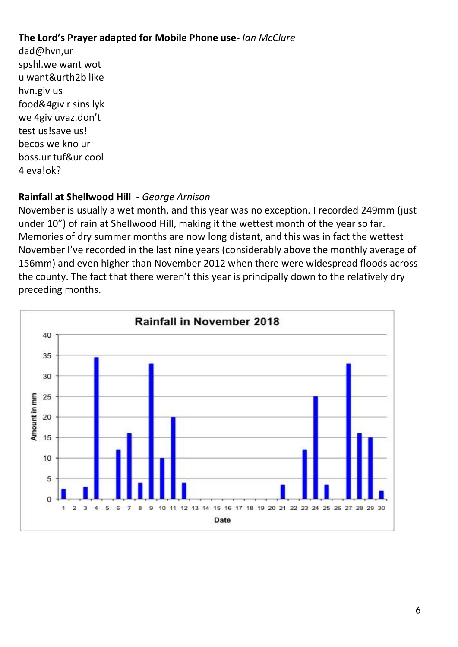# **The Lord's Prayer adapted for Mobile Phone use-** *Ian McClure*

dad@hvn,ur spshl.we want wot u want&urth2b like hvn.giv us food&4giv r sins lyk we 4giv uvaz.don't test us!save us! becos we kno ur boss.ur tuf&ur cool 4 eva!ok?

# **Rainfall at Shellwood Hill -** *George Arnison*

November is usually a wet month, and this year was no exception. I recorded 249mm (just under 10") of rain at Shellwood Hill, making it the wettest month of the year so far. Memories of dry summer months are now long distant, and this was in fact the wettest November I've recorded in the last nine years (considerably above the monthly average of 156mm) and even higher than November 2012 when there were widespread floods across the county. The fact that there weren't this year is principally down to the relatively dry preceding months.

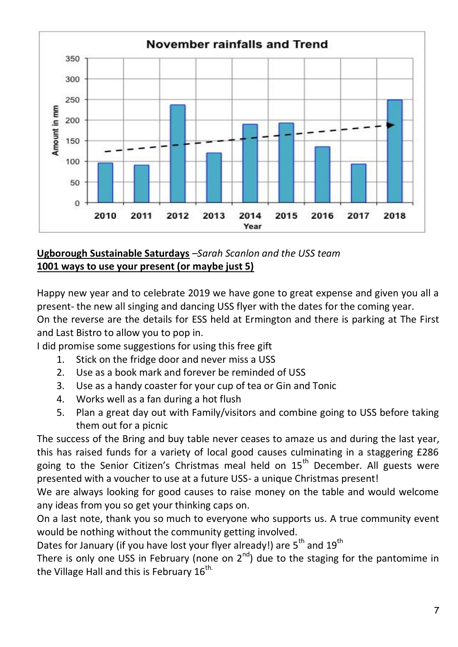

# **Ugborough Sustainable Saturdays** *–Sarah Scanlon and the USS team* **1001 ways to use your present (or maybe just 5)**

Happy new year and to celebrate 2019 we have gone to great expense and given you all a present- the new all singing and dancing USS flyer with the dates for the coming year. On the reverse are the details for ESS held at Ermington and there is parking at The First and Last Bistro to allow you to pop in.

I did promise some suggestions for using this free gift

- 1. Stick on the fridge door and never miss a USS
- 2. Use as a book mark and forever be reminded of USS
- 3. Use as a handy coaster for your cup of tea or Gin and Tonic
- 4. Works well as a fan during a hot flush
- 5. Plan a great day out with Family/visitors and combine going to USS before taking them out for a picnic

The success of the Bring and buy table never ceases to amaze us and during the last year, this has raised funds for a variety of local good causes culminating in a staggering £286 going to the Senior Citizen's Christmas meal held on  $15<sup>th</sup>$  December. All guests were presented with a voucher to use at a future USS- a unique Christmas present!

We are always looking for good causes to raise money on the table and would welcome any ideas from you so get your thinking caps on.

On a last note, thank you so much to everyone who supports us. A true community event would be nothing without the community getting involved.

Dates for January (if you have lost your flyer already!) are 5<sup>th</sup> and 19<sup>th</sup>

There is only one USS in February (none on  $2^{nd}$ ) due to the staging for the pantomime in the Village Hall and this is February  $16^{\text{th}}$ .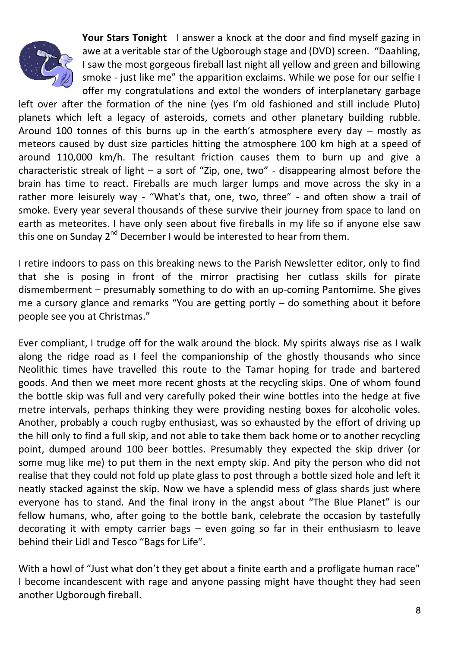

**Your Stars Tonight** I answer a knock at the door and find myself gazing in awe at a veritable star of the Ugborough stage and (DVD) screen. "Daahling, I saw the most gorgeous fireball last night all yellow and green and billowing smoke - just like me" the apparition exclaims. While we pose for our selfie I offer my congratulations and extol the wonders of interplanetary garbage

left over after the formation of the nine (yes I'm old fashioned and still include Pluto) planets which left a legacy of asteroids, comets and other planetary building rubble. Around 100 tonnes of this burns up in the earth's atmosphere every day – mostly as meteors caused by dust size particles hitting the atmosphere 100 km high at a speed of around 110,000 km/h. The resultant friction causes them to burn up and give a characteristic streak of light – a sort of "Zip, one, two" - disappearing almost before the brain has time to react. Fireballs are much larger lumps and move across the sky in a rather more leisurely way - "What's that, one, two, three" - and often show a trail of smoke. Every year several thousands of these survive their journey from space to land on earth as meteorites. I have only seen about five fireballs in my life so if anyone else saw this one on Sunday  $2^{nd}$  December I would be interested to hear from them.

I retire indoors to pass on this breaking news to the Parish Newsletter editor, only to find that she is posing in front of the mirror practising her cutlass skills for pirate dismemberment – presumably something to do with an up-coming Pantomime. She gives me a cursory glance and remarks "You are getting portly  $-$  do something about it before people see you at Christmas."

Ever compliant, I trudge off for the walk around the block. My spirits always rise as I walk along the ridge road as I feel the companionship of the ghostly thousands who since Neolithic times have travelled this route to the Tamar hoping for trade and bartered goods. And then we meet more recent ghosts at the recycling skips. One of whom found the bottle skip was full and very carefully poked their wine bottles into the hedge at five metre intervals, perhaps thinking they were providing nesting boxes for alcoholic voles. Another, probably a couch rugby enthusiast, was so exhausted by the effort of driving up the hill only to find a full skip, and not able to take them back home or to another recycling point, dumped around 100 beer bottles. Presumably they expected the skip driver (or some mug like me) to put them in the next empty skip. And pity the person who did not realise that they could not fold up plate glass to post through a bottle sized hole and left it neatly stacked against the skip. Now we have a splendid mess of glass shards just where everyone has to stand. And the final irony in the angst about "The Blue Planet" is our fellow humans, who, after going to the bottle bank, celebrate the occasion by tastefully decorating it with empty carrier bags – even going so far in their enthusiasm to leave behind their Lidl and Tesco "Bags for Life".

With a howl of "Just what don't they get about a finite earth and a profligate human race" I become incandescent with rage and anyone passing might have thought they had seen another Ugborough fireball.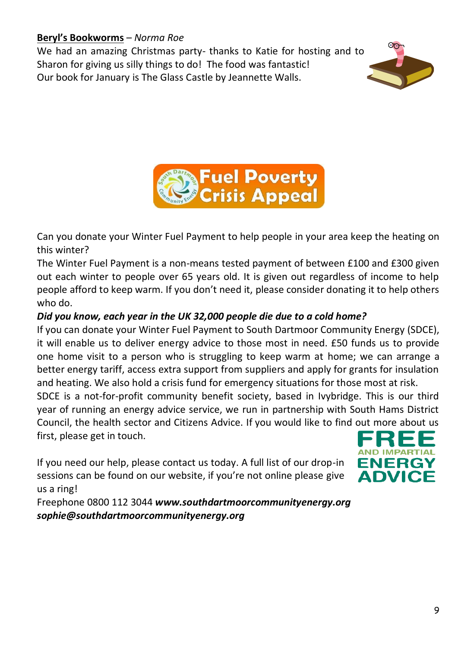# **Beryl's Bookworms** – *Norma Roe*

We had an amazing Christmas party- thanks to Katie for hosting and to Sharon for giving us silly things to do! The food was fantastic! Our book for January is The Glass Castle by Jeannette Walls.





Can you donate your Winter Fuel Payment to help people in your area keep the heating on this winter?

The Winter Fuel Payment is a non-means tested payment of between £100 and £300 given out each winter to people over 65 years old. It is given out regardless of income to help people afford to keep warm. If you don't need it, please consider donating it to help others who do.

# *Did you know, each year in the UK 32,000 people die due to a cold home?*

If you can donate your Winter Fuel Payment to South Dartmoor Community Energy (SDCE), it will enable us to deliver energy advice to those most in need. £50 funds us to provide one home visit to a person who is struggling to keep warm at home; we can arrange a better energy tariff, access extra support from suppliers and apply for grants for insulation and heating. We also hold a crisis fund for emergency situations for those most at risk.

SDCE is a not-for-profit community benefit society, based in Ivybridge. This is our third year of running an energy advice service, we run in partnership with South Hams District Council, the health sector and Citizens Advice. If you would like to find out more about us first, please get in touch.

If you need our help, please contact us today. A full list of our drop-in sessions can be found on our website, if you're not online please give us a ring!



Freephone 0800 112 3044 *www.southdartmoorcommunityenergy.org sophie@southdartmoorcommunityenergy.org*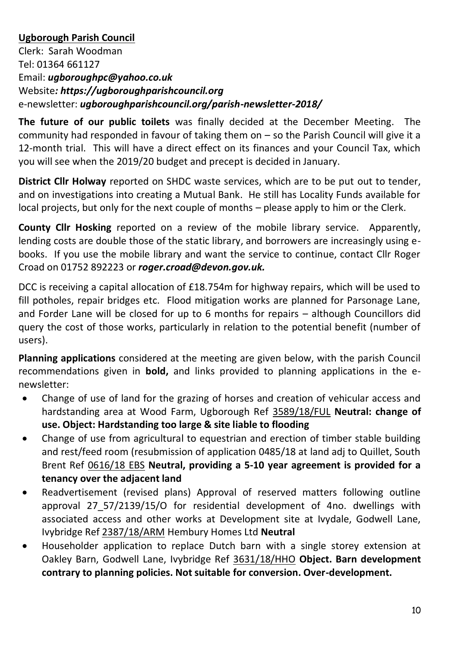# **Ugborough Parish Council**

Clerk: Sarah Woodman Tel: 01364 661127 Email: *ugboroughpc@yahoo.co.uk* Website*: https://ugboroughparishcouncil.org* e-newsletter: *ugboroughparishcouncil.org/parish-newsletter-2018/*

**The future of our public toilets** was finally decided at the December Meeting. The community had responded in favour of taking them on – so the Parish Council will give it a 12-month trial. This will have a direct effect on its finances and your Council Tax, which you will see when the 2019/20 budget and precept is decided in January.

**District Cllr Holway** reported on SHDC waste services, which are to be put out to tender, and on investigations into creating a Mutual Bank. He still has Locality Funds available for local projects, but only for the next couple of months – please apply to him or the Clerk.

**County Cllr Hosking** reported on a review of the mobile library service. Apparently, lending costs are double those of the static library, and borrowers are increasingly using ebooks. If you use the mobile library and want the service to continue, contact Cllr Roger Croad on 01752 892223 or *roger.croad@devon.gov.uk.*

DCC is receiving a capital allocation of £18.754m for highway repairs, which will be used to fill potholes, repair bridges etc. Flood mitigation works are planned for Parsonage Lane, and Forder Lane will be closed for up to 6 months for repairs – although Councillors did query the cost of those works, particularly in relation to the potential benefit (number of users).

**Planning applications** considered at the meeting are given below, with the parish Council recommendations given in **bold,** and links provided to planning applications in the enewsletter:

- Change of use of land for the grazing of horses and creation of vehicular access and hardstanding area at Wood Farm, Ugborough Ref [3589/18/FUL](http://apps.southhams.gov.uk/PlanningSearchMVC/Home/Details/183589) **Neutral: change of use. Object: Hardstanding too large & site liable to flooding**
- Change of use from agricultural to equestrian and erection of timber stable building and rest/feed room (resubmission of application 0485/18 at land adj to Quillet, South Brent Ref [0616/18 EBS](http://www.dartmoor.gov.uk/living-and-working/planning/search-for-an-application/db-links/detailed-application-result?AppNo=0616%2F18) **Neutral, providing a 5-10 year agreement is provided for a tenancy over the adjacent land**
- Readvertisement (revised plans) Approval of reserved matters following outline approval 27\_57/2139/15/O for residential development of 4no. dwellings with associated access and other works at Development site at Ivydale, Godwell Lane, Ivybridge Ref [2387/18/ARM](http://apps.southhams.gov.uk/PlanningSearchMVC/Home/Details/182387) Hembury Homes Ltd **Neutral**
- Householder application to replace Dutch barn with a single storey extension at Oakley Barn, Godwell Lane, Ivybridge Ref [3631/18/HHO](http://apps.southhams.gov.uk/PlanningSearchMVC/Home/Details/183631) **Object. Barn development contrary to planning policies. Not suitable for conversion. Over-development.**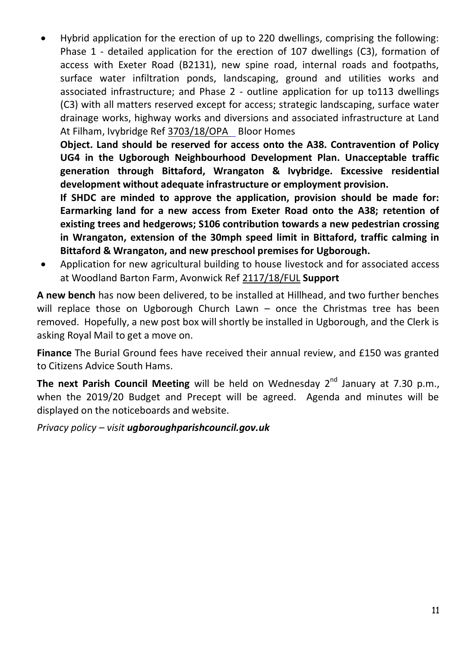Hybrid application for the erection of up to 220 dwellings, comprising the following: Phase 1 - detailed application for the erection of 107 dwellings (C3), formation of access with Exeter Road (B2131), new spine road, internal roads and footpaths, surface water infiltration ponds, landscaping, ground and utilities works and associated infrastructure; and Phase 2 - outline application for up to113 dwellings (C3) with all matters reserved except for access; strategic landscaping, surface water drainage works, highway works and diversions and associated infrastructure at Land At Filham, Ivybridge Ref [3703/18/OPA B](http://apps.southhams.gov.uk/PlanningSearchMVC/Home/Details/183703)loor Homes

**Object. Land should be reserved for access onto the A38. Contravention of Policy UG4 in the Ugborough Neighbourhood Development Plan. Unacceptable traffic generation through Bittaford, Wrangaton & Ivybridge. Excessive residential development without adequate infrastructure or employment provision.**

**If SHDC are minded to approve the application, provision should be made for: Earmarking land for a new access from Exeter Road onto the A38; retention of existing trees and hedgerows; S106 contribution towards a new pedestrian crossing in Wrangaton, extension of the 30mph speed limit in Bittaford, traffic calming in Bittaford & Wrangaton, and new preschool premises for Ugborough.** 

 Application for new agricultural building to house livestock and for associated access at Woodland Barton Farm, Avonwick Re[f 2117/18/FUL](http://apps.southhams.gov.uk/PlanningSearchMVC/Home/Details/182117) **Support**

**A new bench** has now been delivered, to be installed at Hillhead, and two further benches will replace those on Ugborough Church Lawn – once the Christmas tree has been removed. Hopefully, a new post box will shortly be installed in Ugborough, and the Clerk is asking Royal Mail to get a move on.

**Finance** The Burial Ground fees have received their annual review, and £150 was granted to Citizens Advice South Hams.

**The next Parish Council Meeting** will be held on Wednesday 2<sup>nd</sup> January at 7.30 p.m., when the 2019/20 Budget and Precept will be agreed. Agenda and minutes will be displayed on the noticeboards and website.

*Privacy policy – visit ugboroughparishcouncil.gov.uk*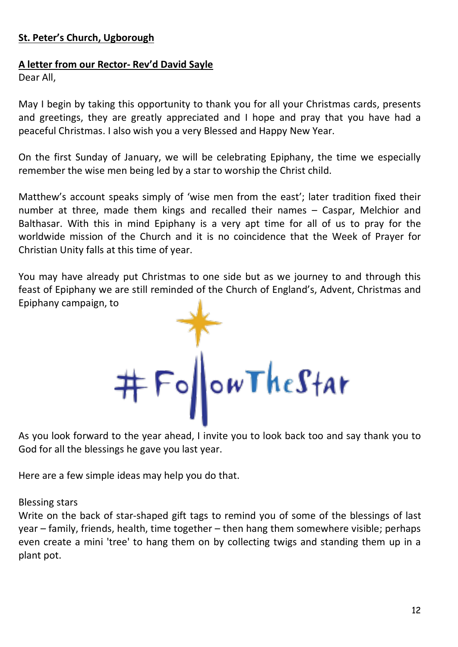#### **St. Peter's Church, Ugborough**

#### **A letter from our Rector- Rev'd David Sayle**

Dear All,

May I begin by taking this opportunity to thank you for all your Christmas cards, presents and greetings, they are greatly appreciated and I hope and pray that you have had a peaceful Christmas. I also wish you a very Blessed and Happy New Year.

On the first Sunday of January, we will be celebrating Epiphany, the time we especially remember the wise men being led by a star to worship the Christ child.

Matthew's account speaks simply of 'wise men from the east'; later tradition fixed their number at three, made them kings and recalled their names – Caspar, Melchior and Balthasar. With this in mind Epiphany is a very apt time for all of us to pray for the worldwide mission of the Church and it is no coincidence that the Week of Prayer for Christian Unity falls at this time of year.

You may have already put Christmas to one side but as we journey to and through this feast of Epiphany we are still reminded of the Church of England's, Advent, Christmas and Epiphany campaign, to



As you look forward to the year ahead, I invite you to look back too and say thank you to God for all the blessings he gave you last year.

Here are a few simple ideas may help you do that.

#### Blessing stars

Write on the back of star-shaped gift tags to remind you of some of the blessings of last year – family, friends, health, time together – then hang them somewhere visible; perhaps even create a mini 'tree' to hang them on by collecting twigs and standing them up in a plant pot.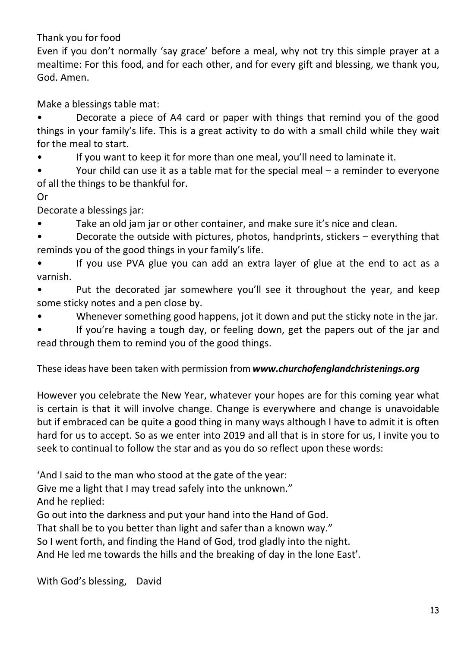Thank you for food

Even if you don't normally 'say grace' before a meal, why not try this simple prayer at a mealtime: For this food, and for each other, and for every gift and blessing, we thank you, God. Amen.

Make a blessings table mat:

• Decorate a piece of A4 card or paper with things that remind you of the good things in your family's life. This is a great activity to do with a small child while they wait for the meal to start.

If you want to keep it for more than one meal, you'll need to laminate it.

• Your child can use it as a table mat for the special meal – a reminder to everyone of all the things to be thankful for.

# Or

Decorate a blessings jar:

• Take an old jam jar or other container, and make sure it's nice and clean.

Decorate the outside with pictures, photos, handprints, stickers - everything that reminds you of the good things in your family's life.

• If you use PVA glue you can add an extra layer of glue at the end to act as a varnish.

• Put the decorated jar somewhere you'll see it throughout the year, and keep some sticky notes and a pen close by.

Whenever something good happens, jot it down and put the sticky note in the jar.

If you're having a tough day, or feeling down, get the papers out of the jar and read through them to remind you of the good things.

These ideas have been taken with permission from *[www.churchofenglandchristenings.org](http://www.churchofenglandchristenings.org/)*

However you celebrate the New Year, whatever your hopes are for this coming year what is certain is that it will involve change. Change is everywhere and change is unavoidable but if embraced can be quite a good thing in many ways although I have to admit it is often hard for us to accept. So as we enter into 2019 and all that is in store for us, I invite you to seek to continual to follow the star and as you do so reflect upon these words:

'And I said to the man who stood at the gate of the year:

Give me a light that I may tread safely into the unknown."

And he replied:

Go out into the darkness and put your hand into the Hand of God.

That shall be to you better than light and safer than a known way."

So I went forth, and finding the Hand of God, trod gladly into the night.

And He led me towards the hills and the breaking of day in the lone East'.

With God's blessing, David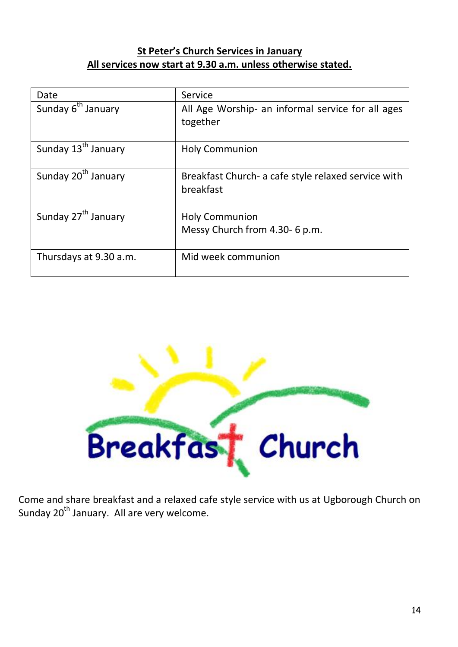# **St Peter's Church Services in January All services now start at 9.30 a.m. unless otherwise stated.**

| Date                            | Service                                                          |  |
|---------------------------------|------------------------------------------------------------------|--|
| Sunday 6 <sup>th</sup> January  | All Age Worship- an informal service for all ages<br>together    |  |
|                                 |                                                                  |  |
| Sunday 13 <sup>th</sup> January | <b>Holy Communion</b>                                            |  |
| Sunday 20 <sup>th</sup> January | Breakfast Church- a cafe style relaxed service with<br>breakfast |  |
| Sunday 27 <sup>th</sup> January | <b>Holy Communion</b>                                            |  |
|                                 | Messy Church from 4.30- 6 p.m.                                   |  |
| Thursdays at 9.30 a.m.          | Mid week communion                                               |  |



Come and share breakfast and a relaxed cafe style service with us at Ugborough Church on Sunday 20<sup>th</sup> January. All are very welcome.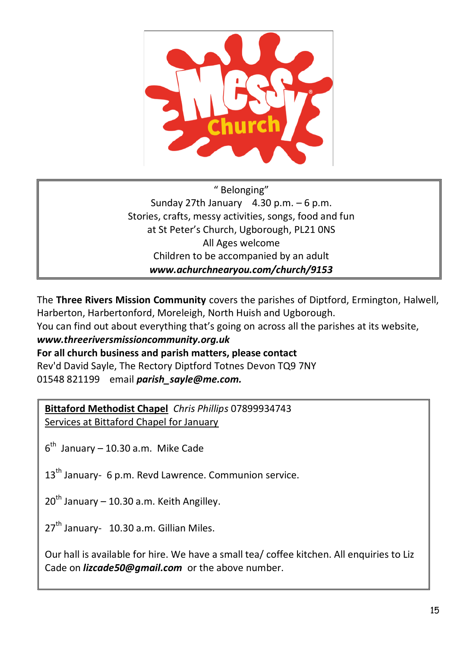

" Belonging" Sunday 27th January  $4.30$  p.m.  $-6$  p.m. Stories, crafts, messy activities, songs, food and fun at St Peter's Church, Ugborough, PL21 0NS All Ages welcome Children to be accompanied by an adult *www.achurchnearyou.com/church/9153*

The **Three Rivers Mission Community** covers the parishes of Diptford, Ermington, Halwell, Harberton, Harbertonford, Moreleigh, North Huish and Ugborough.

You can find out about everything that's going on across all the parishes at its website,

# *www.threeriversmissioncommunity.org.uk*

**For all church business and parish matters, please contact**

Rev'd David Sayle, The Rectory Diptford Totnes Devon TQ9 7NY 01548 821199 email *[parish\\_sayle@me.com.](mailto:parish_sayle@me.com)*

**Bittaford Methodist Chapel** *Chris Phillips* 07899934743 Services at Bittaford Chapel for January

 $6<sup>th</sup>$  January – 10.30 a.m. Mike Cade

13<sup>th</sup> January- 6 p.m. Revd Lawrence. Communion service.

 $20^{th}$  January – 10.30 a.m. Keith Angilley.

 $27<sup>th</sup>$  January-  $10.30$  a.m. Gillian Miles.

Our hall is available for hire. We have a small tea/ coffee kitchen. All enquiries to Liz Cade on *[lizcade50@gmail.com](file:///C:/Users/User/Documents/newsletter/lizcade50@gmail.com)* or the above number.